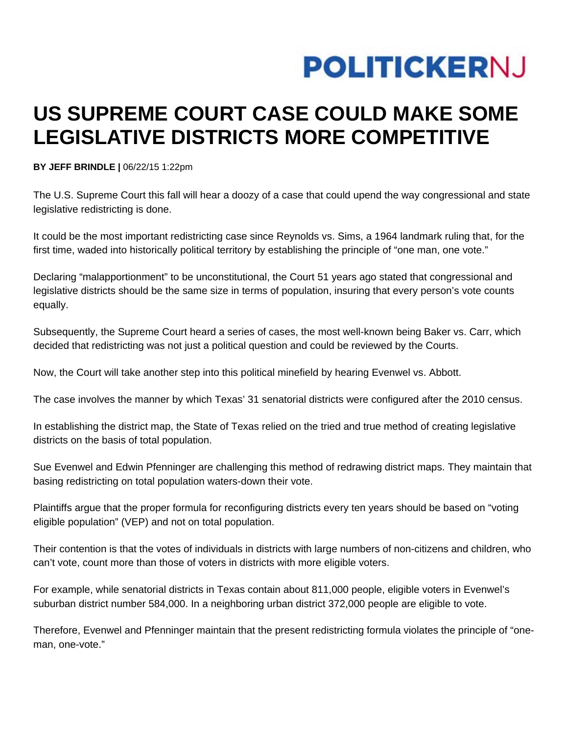

## **US SUPREME COURT CASE COULD MAKE SOME LEGISLATIVE DISTRICTS MORE COMPETITIVE**

**BY JEFF BRINDLE |** 06/22/15 1:22pm

The U.S. Supreme Court this fall will hear a doozy of a case that could upend the way congressional and state legislative redistricting is done.

It could be the most important redistricting case since Reynolds vs. Sims, a 1964 landmark ruling that, for the first time, waded into historically political territory by establishing the principle of "one man, one vote."

Declaring "malapportionment" to be unconstitutional, the Court 51 years ago stated that congressional and legislative districts should be the same size in terms of population, insuring that every person's vote counts equally.

Subsequently, the Supreme Court heard a series of cases, the most well-known being Baker vs. Carr, which decided that redistricting was not just a political question and could be reviewed by the Courts.

Now, the Court will take another step into this political minefield by hearing Evenwel vs. Abbott.

The case involves the manner by which Texas' 31 senatorial districts were configured after the 2010 census.

In establishing the district map, the State of Texas relied on the tried and true method of creating legislative districts on the basis of total population.

Sue Evenwel and Edwin Pfenninger are challenging this method of redrawing district maps. They maintain that basing redistricting on total population waters-down their vote.

Plaintiffs argue that the proper formula for reconfiguring districts every ten years should be based on "voting eligible population" (VEP) and not on total population.

Their contention is that the votes of individuals in districts with large numbers of non-citizens and children, who can't vote, count more than those of voters in districts with more eligible voters.

For example, while senatorial districts in Texas contain about 811,000 people, eligible voters in Evenwel's suburban district number 584,000. In a neighboring urban district 372,000 people are eligible to vote.

Therefore, Evenwel and Pfenninger maintain that the present redistricting formula violates the principle of "oneman, one-vote."